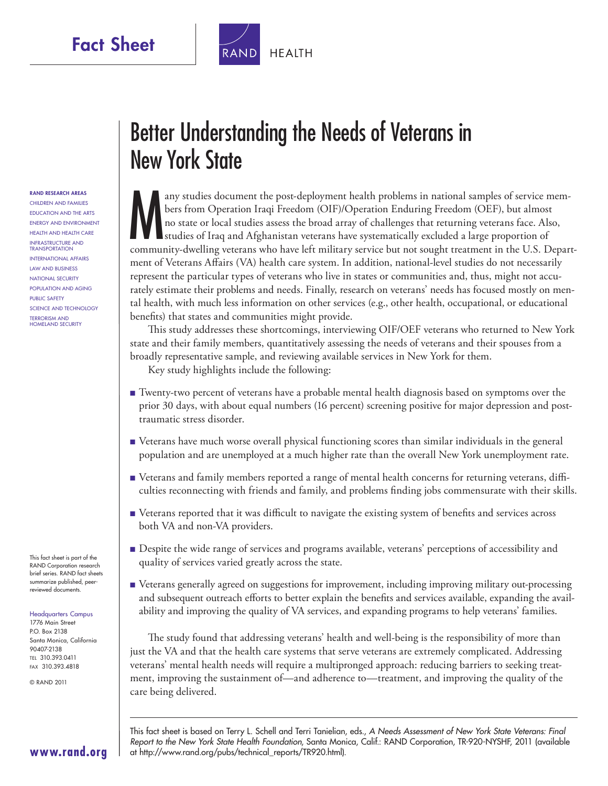Fact Sheet

**HEALTH** 

RAND RESEARCH AREAS Children and Families Education and the Arts Energy and Environment Health and Health Care Infrastructure and **TRANSPORTATION** International Affairs Law and Business National Security Population and Aging Public Safety Science and Technology Terrorism and Homeland Security

This fact sheet is part of the RAND Corporation research brief series. RAND  fact sheets summarize published, peerreviewed documents.

#### Headquarters Campus

1776 Main Street P.O. Box 2138 Santa Monica, California 90407-2138 Tel 310.393.0411 Fax 310.393.4818

© RAND 2011

# Better Understanding the Needs of Veterans in New York State

M any studies document the post-deployment health problems in national samples of service members from Operation Iraqi Freedom (OIF)/Operation Enduring Freedom (OEF), but almost no state or local studies assess the broad array of challenges that returning veterans face. Also, studies of Iraq and Afghanistan veterans have systematically excluded a large proportion of community-dwelling veterans who have left military service but not sought treatment in the U.S. Department of Veterans Affairs (VA) health care system. In addition, national-level studies do not necessarily represent the particular types of veterans who live in states or communities and, thus, might not accurately estimate their problems and needs. Finally, research on veterans' needs has focused mostly on mental health, with much less information on other services (e.g., other health, occupational, or educational benefits) that states and communities might provide.

This study addresses these shortcomings, interviewing OIF/OEF veterans who returned to New York state and their family members, quantitatively assessing the needs of veterans and their spouses from a broadly representative sample, and reviewing available services in New York for them.

Key study highlights include the following:

- Twenty-two percent of veterans have a probable mental health diagnosis based on symptoms over the prior 30 days, with about equal numbers (16 percent) screening positive for major depression and posttraumatic stress disorder.
- Veterans have much worse overall physical functioning scores than similar individuals in the general population and are unemployed at a much higher rate than the overall New York unemployment rate.
- Veterans and family members reported a range of mental health concerns for returning veterans, difficulties reconnecting with friends and family, and problems finding jobs commensurate with their skills.
- Veterans reported that it was difficult to navigate the existing system of benefits and services across both VA and non-VA providers.
- Despite the wide range of services and programs available, veterans' perceptions of accessibility and quality of services varied greatly across the state.
- Veterans generally agreed on suggestions for improvement, including improving military out-processing and subsequent outreach efforts to better explain the benefits and services available, expanding the availability and improving the quality of VA services, and expanding programs to help veterans' families.

The study found that addressing veterans' health and well-being is the responsibility of more than just the VA and that the health care systems that serve veterans are extremely complicated. Addressing veterans' mental health needs will require a multipronged approach: reducing barriers to seeking treatment, improving the sustainment of—and adherence to—treatment, and improving the quality of the care being delivered.

This fact sheet is based on Terry L. Schell and Terri Tanielian, eds., *A Needs Assessment of New York State Veterans: Final Report to the New York State Health Foundation*, Santa Monica, Calif.: RAND Corporation, TR-920-NYSH F, 2011 (available at [http://www.rand.org/pubs/technical\\_reports/TR920.html\)](http://www.rand.org/pubs/technical_reports/TR920.html).

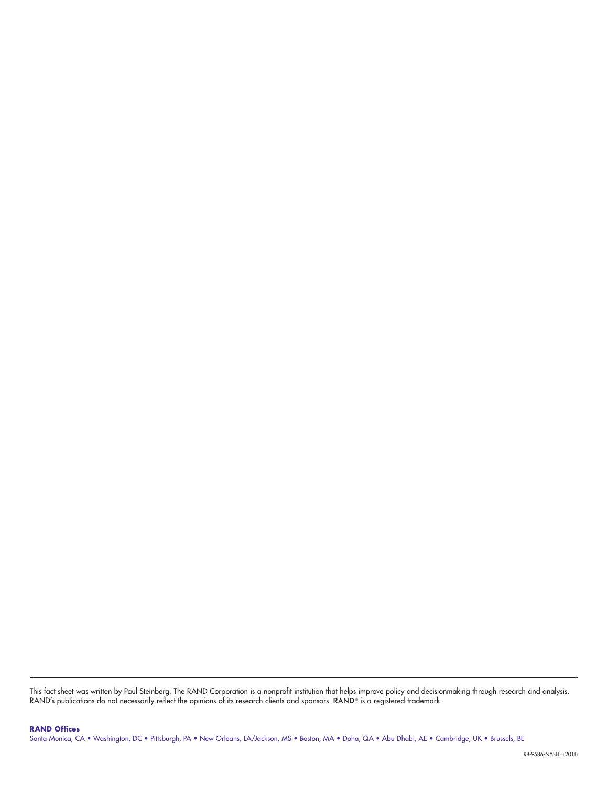This fact sheet was written by Paul Steinberg. The RAND Corporation is a nonprofit institution that helps improve policy and decisionmaking through research and analysis.<br>RAND's publications do not necessarily reflect the